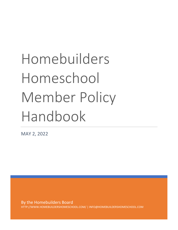# Homebuilders Homeschool Member Policy Handbook

MAY 2, 2022

By the Homebuilders Board HTTP://WWW.HOMEBUILDERSHOMESCHOOL.COM/ | INFO@HOMEBUILDERSHOMESCHOOL.COM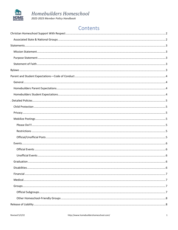

## Homebuilders Homeschool

2022-2023 Member Policy Handbook

## Contents

| Graduation | 6 |
|------------|---|
|            |   |
|            |   |
|            |   |
|            |   |
|            |   |
|            |   |
|            |   |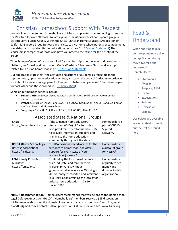

## *Homebuilders Homeschool*

*2022-2023 Member Policy Handbook*

## <span id="page-2-0"></span>Christian Homeschool Support With Respect

Homebuilders Homeschool (Homebuilders or HB) has supported homeschooling parents in the Bay Area for over 20 years. We are a private Christian homeschool support group in Eastern Contra Costa County within the CHEA (Christian Home Educators Association of California) Support Group Network and "exists to give home school parents encouragement, friendship, and opportunities for educational activities." [\(HB Mission Statement\)](#page-3-1) The leadership is composed of those who have volunteered their time for the benefit of the group.

Though no profession of faith is required for membership, at our events and on our virtual platform, we "speak and teach about God's Word-the Bible, Jesus Christ, and any topic related to Christian homeschooling." [\(HB Mission Statement\)](#page-3-1)

Our application states that "the attitudes and actions of our families reflect upon the support group, upon home education at large, and upon the body of Christ. In accordance with Phil. 1:27 we encourage parents' to accept ... behavioral guidelines" that show respect for each other and those around us. [\(HB Application\)](http://www.homebuildershomeschool.com/1_8_membership-application.html)

Some of our member benefits include:

- **Support**: HSLDA Group Discount, Meal Coordination, Yearbook, Private member platform (mobilize)
- **Events**: Curriculum Swap, Park Days, High School Graduation, Annual Banquet, End of the Year Party and Mid-Year Events
- Subgroups: Shine (K-2<sup>nd</sup>), Rock (3<sup>rd</sup>-5<sup>th</sup>), Gel (6<sup>th</sup>-8<sup>th</sup>), Alive (9<sup>th</sup>-12<sup>th</sup>)

#### Associated State & National Groups

<span id="page-2-1"></span>

| <b>CHEA</b><br>https://www.cheaofca.org/                                      | "The Christian Home Educators<br>Association (CHEA) of California is a<br>non-profit ministry established in 1982<br>to provide information, support, and<br>training to the home education<br>community throughout the state."                                                                       | Homebuilders is<br>part of CHEA's<br>Support<br>Network.                                 |
|-------------------------------------------------------------------------------|-------------------------------------------------------------------------------------------------------------------------------------------------------------------------------------------------------------------------------------------------------------------------------------------------------|------------------------------------------------------------------------------------------|
| <b>HSLDA</b> (Home School Legal<br>Defense Association)<br>https://hslda.org/ | "HSLDA passionately advocates for the<br>freedom to homeschool and offers<br>support for every stage of your<br>homeschool journey."                                                                                                                                                                  | Homebuilders is<br>a discount group<br>for HSLDA*                                        |
| <b>FPM</b> (Family Protection<br>Ministries)<br>https://fpmca.org/            | "Defending the freedom of parents to<br>train, educate, and care for their<br>children privately, without<br>governmental interference. Working to<br>detect, analyze, monitor, and intervene<br>in all legislation affecting the legality of<br>private home education in California<br>since 1986." | <b>Homebuilders</b><br>regularly raises<br>money and<br>donates to this<br>organization. |

**\*HSLDA Recommendation**--Homebuilders recommends that you belong to the Home School Legal Defense Association (HSLDA). Homebuilders' members receive a \$15 discount on HSLDA membership using the Homebuilders code that you can get from Sarah Ark, email: psark03@gmail.com. Contact HSLDA - phone: 540-338-5600, or web site: www.hslda.org.

# Read & Understand

When applying to join our group, members sign our application stating they have read and understood Homebuilders':

- Statements (Mission, Purpose, & Faith)
- Bylaws
- Expectations
- Policies
- Release of Liability

Our bylaws are available in a separate document, but the rest are found here.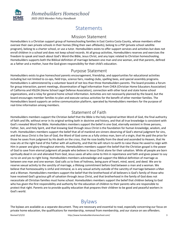

*Homebuilders Homeschool 2022-2023 Member Policy Handbook*

## **Statements**

#### Mission Statement

<span id="page-3-1"></span><span id="page-3-0"></span>Homebuilders is a Christian support group of homeschooling families in East Contra Costa County, whose members either oversee their own private schools in their homes (filing their own affidavits), belong to a PSP (private school satellite program), belong to a charter school, or use a tutor. Homebuilders exists to offer support services and activities but does not enroll children in a school and does not keep school records. At all group activities, Homebuilders reserves and exercises the freedom to speak and teach about God's Word-the Bible, Jesus Christ, and any topic related to Christian homeschooling. Homebuilders supports both the Biblical definition of marriage between one man and one woman, and that parents, defined as a father and a mother, have the God-given responsibility for their child's education.

#### Purpose Statement

<span id="page-3-2"></span>Homebuilders exists to give homeschool parents encouragement, friendship, and opportunities for educational activities including but not limited to co-ops, field trips, science fairs, reading clubs, spelling bees, and special assembly programs. Homebuilders is administered by a volunteer board of not less than three Homebuilders parents. The board provides a forum for group interaction, parent meetings, dissemination of legal information from CHEA (Christian Home Educators Association) of California and HSLDA (Home School Legal Defense Association), connection with other local and state home school organizations, and a relay for general home school information. Activities are not necessarily planned by the board, but the board encourages member families to plan and execute various activities for the benefit of other member families. The Homebuilders board supports an online communication platform, operated by Homebuilders members for the purpose of real-time information among members.

#### Statement of Faith

<span id="page-3-3"></span>Homebuilders members support the Christian belief that the Bible is the holy inspired written Word of God, the final authority of faith and life, without error in its original writing both in doctrine and history, and that all true knowledge is consistent with God's revealed Word the Bible. Homebuilders members support the belief in one God, eternally existent in three persons, Father, Son, and Holy Spirit, and that knowing God through Jesus Christ is the foundation for human knowledge, wisdom, and truth. Homebuilders members support the belief that all of mankind are sinners deserving of God's eternal judgment for sins, and that Jesus Christ is the Son of God, the Word of God come as a fully sinless man, born of a virgin, that He paid the price for those he saves from judgment by His death on the cross, that He rose bodily from the dead and ascended to Heaven, that He now sits at the right hand of the Father with all authority, and that He will return to earth to raise those He saved to reign with Him in power and glory throughout eternity. Homebuilders members support the belief that the Christian gospel is the power of God to save from eternal judgment all people who believe in Jesus Christ alone for their salvation. While all people are born spiritually dead in sin and alienated from God, Jesus saves all who come to Him in repentance and faith and gives power to say no to sin and yes to right living. Homebuilders members acknowledge and support the Biblical definition of marriage as between one man and one woman. God calls us to lives of holiness, being pure of heart, mind, word, and deed. We are to reserve sexual activity to the sanctity of marriage, a lifelong commitment before God between a man and a woman. We believe that homosexuality is sinful and immoral, as is any sexual activity outside of the sanctity of marriage between a Man and a Woman. Homebuilders members support the belief that the brotherhood of all believers is God's family of those who have received God's gracious gift of salvation through Jesus Christ, and that brotherhood in the family of God does not necessitate all Christian families must home school. Homebuilders members support the belief that children belong to God who has given the first responsibility and authority for the education of children to their parents who are responsible to protect that right. Parents are to provide quality education that prepares their children to be good and peaceful workers in God's world.

## Bylaws

<span id="page-3-4"></span>The bylaws are available as a separate document. They are necessary and essential to read, especially concerning our focus on private home education, the qualifications for membership, removal from membership, and our stance on sex offenders.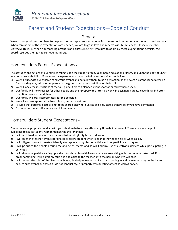

## Parent and Student Expectations—Code of Conduct

#### General

<span id="page-4-1"></span><span id="page-4-0"></span>We encourage all our members to help each other represent our wonderful homeschool community in the most positive way. When reminders of these expectations are needed, we are to go in love and receive with humbleness. Please remember Matthew 18:15-17 when approaching brothers and sisters in Christ. If failure to abide by these expectations persists, the board reserves the right to remove members.

#### <span id="page-4-2"></span>Homebuilders Parent Expectations **–**

The attitudes and actions of our families reflect upon the support group, upon home education at large, and upon the body of Christ. In accordance with Phil. 1:27 we encourage parents to accept the following behavioral guidelines:

- 1) We will supervise our children at all group events and not allow them to be a distraction. In the event a parent cannot attend a function they may ask another parent in the group to take responsibility for their child.
- 2) We will obey the instructions of the tour guide, field trip planner, event sponsor or facility being used.
- 3) Our family will show respect for other people and their property (no litter, play only in designated areas, leave things in better condition than we found them).
- 4) Our family will dress appropriately for the occasion.
- 5) We will express appreciation to our hosts, verbal or written.
- 6) Assume that personal posts are not to be shared elsewhere unless explicitly stated otherwise or you have permission.
- 7) Do not attend events if you or your children are sick.

#### <span id="page-4-3"></span>Homebuilders Student Expectations **–**

Please review appropriate conduct with your children before they attend any Homebuilders event. These are some helpful guidelines to assist students with remembering their manners:

- 1) I will work hard to behave in such a way that would glorify Jesus in all ways.
- 2) I will assist the teacher, event coordinator or fellow student when I see that they need help or when asked.
- 3) I will diligently work to create a friendly atmosphere in my class or activity and not participate in cliques.
- 4) I will prioritize the people around me and be "present" and so will limit my use of electronic devices while participating in activities.
- 5) I will always help with cleaning up and not touch or play with items where we are visiting unless otherwise instructed. If I do break something, I will admit my fault and apologize to the teacher or to the person who I've wronged.
- 6) I will respect the rules of the classroom, home, field trip or event that I am participating in and recognize I may not be invited back to such events or classes if I do not conduct myself properly by respecting others as well as myself.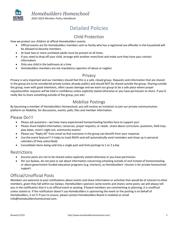

# Detailed Policies

### Child Protection

<span id="page-5-1"></span><span id="page-5-0"></span>How we protect our children at official Homebuilders events:

- Official events are for Homebuilders members and no family who has a registered sex offender in the household will be allowed to become members.
- At least two or more unrelated adults must be present at all times.
- If you need to drop off your child, arrange with another mom/host and make sure they have your contact information.
- Only one child in the bathroom at a time
- <span id="page-5-2"></span>• Homebuilders members are not mandatory reporters of abuse or neglect.

#### Privacy

Privacy is very important and our members should feel this is a safe, closed group. Requests and information that are shared in the group are to be considered private (unless already public) and should NOT be shared outside the group. Sharing outside the group, even with good intentions, often causes damage and we want our group to be a safe place where prayer requests/other requests will be held in confidence unless explicitly stated otherwise or you have permission to share. If you'd really like to share something outside of the group, just ask!

#### Mobilize Postings

<span id="page-5-3"></span>By becoming a member of Homebuilders Homeschool, you will receive an invitation to join our private communication platform on Mobilize, for discussions, events, polls, files and member information.

#### <span id="page-5-4"></span>Please Do!!!

- Please ask questions—we have many experienced homeschooling families here to support you!
- Please share helpful information, resources, prayer requests, or needs…share about curriculum, questions, field trips, play dates, mom's night out, community events!
- Please use "Reply All" from email so that everyone in the group can benefit from your response.
- Use the event feature!!! It helps to track RSVPs and will automatically send reminders and show up in personal calendars (if they subscribed).
- Consolidate items being sold into a single post and limit postings to 1 or 2 a day

#### <span id="page-5-5"></span>Restrictions

- Assume posts are not to be shared unless explicitly stated otherwise or you have permission.
- Per our bylaws, do not post or ask about information concerning schooling outside of and instead of homeschooling or about government-funded education programs (e.g. charters), as Homebuilders' mission is for private homeschool support.

#### <span id="page-5-6"></span>Official/Unofficial Posts

Members are welcome to post notifications about events and share information or activities that would be of interest to other members, given they fall within our bylaws. Homebuilders sponsors some events and shares some posts; we will always tell you in the notification that it is an official event or posting. If board members are commenting or planning, it is unofficial unless stated so. If the notification doesn't say Homebuilders is sponsoring the event or the posting is on behalf of Homebuilders, it isn't! If you're unsure, please contact Homebuilders Board in mobilize or email [info@homebuildershomeschool.com.](file://///holitopa/Documents/Alysia%20Ideapad/School/Homeschool/CA%20Homeschooling/Homebuilders/info@homebuildershomeschool.com)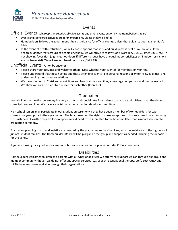

# Events

<span id="page-6-1"></span><span id="page-6-0"></span>Official Events (Subgroup Shine/Rock/Gel/Alive events and other events put on by the Homebuilders Board)

- Events and sponsored activities are for members only unless otherwise noted.
- Homebuilders follows the government's health guidance for official events, unless that guidance goes against God's Bible.
- In the event of health restrictions, we will choose options that keep and build unity as best as we are able. If the health guidance treats groups of people unequally, we will strive to follow God's word (Lev 19:15, James 2:8-9, etc.) in not showing favoritism (e.g., meet outdoors if different groups have unequal indoor privileges or if indoor restrictions are controversial). We will use our freedom to love (Gal 5:13).

#### <span id="page-6-2"></span>Unofficial Events (Put on by anyone)

- Please share your activities and welcome others! Note whether your event if for members only or not.
- Please understand that those hosting and those attending events take personal responsibility for risks, liabilities, and understanding the current regulations.
- We have freedom in Christ and convictions and health situations differ, so we urge compassion and mutual respect. We show we are Christians by our love for each other (John 13:35).

#### Graduation

<span id="page-6-3"></span>Homebuilders graduation ceremony is a very exciting and special time for students to graduate with friends that they have come to know and love. We have a special community that has developed over time.

High school seniors may participate in our graduation ceremony if they have been a member of Homebuilders for two consecutive years prior to their graduation. The board reserves the right to make exceptions to this rule based on extenuating circumstances. A written request for exception would need to be submitted to the board no later than 4 months before the graduation ceremony.

Graduation planning, costs, and logistics are covered by the graduating seniors' families, with the assistance of the high school juniors' student families. The Homebuilders Board will help organize the group and support as needed including the deposit for the venue.

<span id="page-6-4"></span>If you are looking for a graduation ceremony, but cannot attend ours, please consider CHEA's ceremony.

#### Disabilities

Homebuilders welcomes children and parents with all types of abilities! We offer what support we can through our group and member community, though we do not offer any special services (e.g. speech, occupational therapy, etc.). Both CHEA and HSLDA have resources available through their organizations.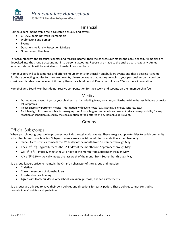

*Homebuilders Homeschool*

*2022-2023 Member Policy Handbook*

#### Financial

<span id="page-7-0"></span>Homebuilders' membership fee is collected annually and covers:

- CHEA Support Network Membership
- Webhosting and domain
- **Events**
- Donations to Family Protection Ministry
- Government filing fees

For accountability, the treasurer collects and records income, then the co-treasurer makes the bank deposit. All monies are deposited into the group's account, not into personal accounts. Reports are made to the entire board regularly. Annual income statements will be available to Homebuilders members.

Homebuilders will collect monies and offer reimbursements for official Homebuilders events and those bearing its name. For those collecting monies for their own events, please be aware that money going into your personal account could be considered taxable income, even if it is only there for a brief period. Please consult your CPA for more information.

<span id="page-7-1"></span>Homebuilders Board Members do not receive compensation for their work or discounts on their membership fee.

#### Medical

- Do not attend events if you or your children are sick including fever, vomiting, or diarrhea within the last 24 hours or covid-19 symptoms.
- Please share any pertinent medical information with event hosts (e.g., asthma, allergies, seizures, etc.).
- <span id="page-7-2"></span>• Each family/child is responsible for managing their food allergies. Homebuilders does not take any responsibility for any reaction or condition caused by the consumption of food offered at any Homebuilders event.

#### Groups

#### <span id="page-7-3"></span>Official Subgroups

When you join our group, we help connect our kids through social events. These are great opportunities to build community with other homeschool families. Subgroup events are a special benefit for Homebuilders members only:

- Shine (K-2<sup>nd</sup>) typically meets the 2<sup>nd</sup> Friday of the month from September through May
- Rock (3<sup>rd</sup>-5<sup>th</sup>) typically meets the 3<sup>rd</sup> Friday of the month from September through May
- Gel ( $6<sup>th</sup>$ -8<sup>th</sup>) typically meets the 3<sup>rd</sup> Friday of the month from September through May
- Alive (9<sup>th</sup>-12<sup>th</sup>) typically meets the last week of the month from September through May

Sub-group leaders strive to maintain the Christian character of their group and must be:

- Christian
- Current members of Homebuilders
- Privately homeschooling
- Agree with Homebuilders Homeschool's mission, purpose, and faith statements.

<span id="page-7-4"></span>Sub-groups are advised to have their own policies and directions for participation. These policies cannot contradict Homebuilders' policies and guidelines.